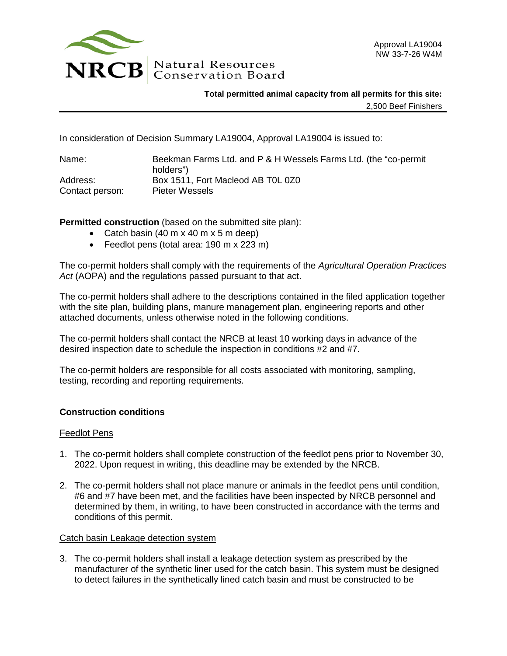

**Total permitted animal capacity from all permits for this site:** 2,500 Beef Finishers

In consideration of Decision Summary LA19004, Approval LA19004 is issued to:

| Name:           | Beekman Farms Ltd. and P & H Wessels Farms Ltd. (the "co-permit" |
|-----------------|------------------------------------------------------------------|
|                 | holders")                                                        |
| Address:        | Box 1511, Fort Macleod AB TOL 0Z0                                |
| Contact person: | Pieter Wessels                                                   |

**Permitted construction** (based on the submitted site plan):

- Catch basin (40 m x 40 m x 5 m deep)
- Feedlot pens (total area: 190 m x 223 m)

The co-permit holders shall comply with the requirements of the *Agricultural Operation Practices Act* (AOPA) and the regulations passed pursuant to that act.

The co-permit holders shall adhere to the descriptions contained in the filed application together with the site plan, building plans, manure management plan, engineering reports and other attached documents, unless otherwise noted in the following conditions.

The co-permit holders shall contact the NRCB at least 10 working days in advance of the desired inspection date to schedule the inspection in conditions #2 and #7.

The co-permit holders are responsible for all costs associated with monitoring, sampling, testing, recording and reporting requirements.

## **Construction conditions**

## Feedlot Pens

- 1. The co-permit holders shall complete construction of the feedlot pens prior to November 30, 2022. Upon request in writing, this deadline may be extended by the NRCB.
- 2. The co-permit holders shall not place manure or animals in the feedlot pens until condition, #6 and #7 have been met, and the facilities have been inspected by NRCB personnel and determined by them, in writing, to have been constructed in accordance with the terms and conditions of this permit.

## Catch basin Leakage detection system

3. The co-permit holders shall install a leakage detection system as prescribed by the manufacturer of the synthetic liner used for the catch basin. This system must be designed to detect failures in the synthetically lined catch basin and must be constructed to be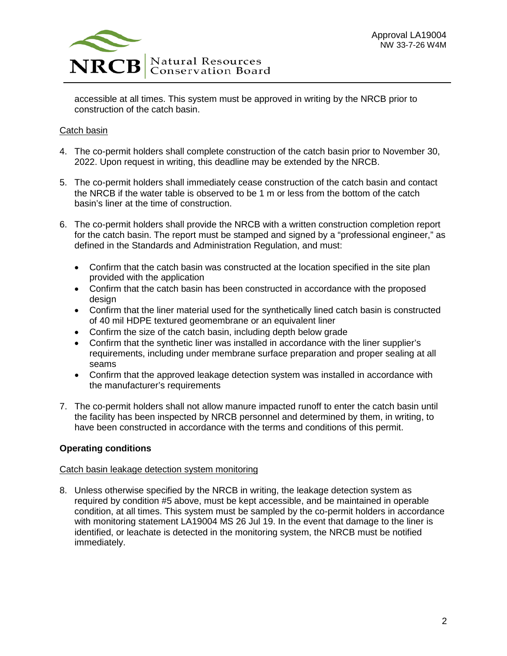

accessible at all times. This system must be approved in writing by the NRCB prior to construction of the catch basin.

## Catch basin

- 4. The co-permit holders shall complete construction of the catch basin prior to November 30, 2022. Upon request in writing, this deadline may be extended by the NRCB.
- 5. The co-permit holders shall immediately cease construction of the catch basin and contact the NRCB if the water table is observed to be 1 m or less from the bottom of the catch basin's liner at the time of construction.
- 6. The co-permit holders shall provide the NRCB with a written construction completion report for the catch basin. The report must be stamped and signed by a "professional engineer," as defined in the Standards and Administration Regulation, and must:
	- Confirm that the catch basin was constructed at the location specified in the site plan provided with the application
	- Confirm that the catch basin has been constructed in accordance with the proposed design
	- Confirm that the liner material used for the synthetically lined catch basin is constructed of 40 mil HDPE textured geomembrane or an equivalent liner
	- Confirm the size of the catch basin, including depth below grade
	- Confirm that the synthetic liner was installed in accordance with the liner supplier's requirements, including under membrane surface preparation and proper sealing at all seams
	- Confirm that the approved leakage detection system was installed in accordance with the manufacturer's requirements
- 7. The co-permit holders shall not allow manure impacted runoff to enter the catch basin until the facility has been inspected by NRCB personnel and determined by them, in writing, to have been constructed in accordance with the terms and conditions of this permit.

# **Operating conditions**

## Catch basin leakage detection system monitoring

8. Unless otherwise specified by the NRCB in writing, the leakage detection system as required by condition #5 above, must be kept accessible, and be maintained in operable condition, at all times. This system must be sampled by the co-permit holders in accordance with monitoring statement LA19004 MS 26 Jul 19. In the event that damage to the liner is identified, or leachate is detected in the monitoring system, the NRCB must be notified immediately.